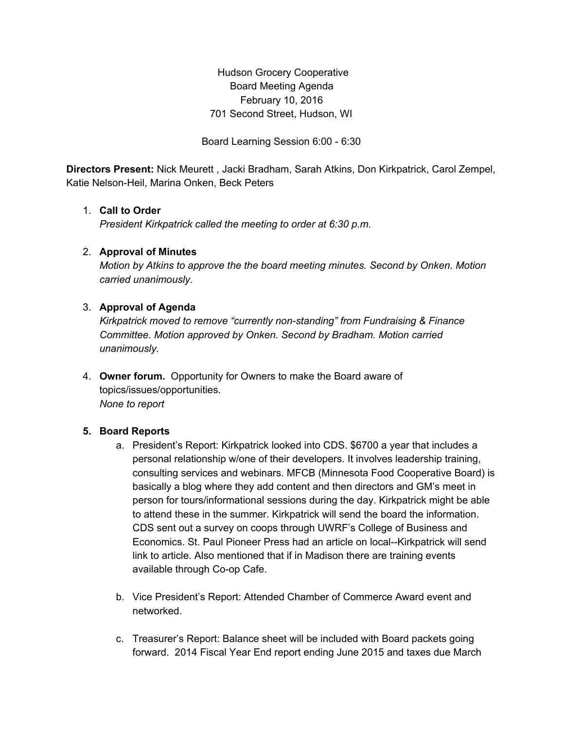Hudson Grocery Cooperative Board Meeting Agenda February 10, 2016 701 Second Street, Hudson, WI

Board Learning Session 6:00 - 6:30

**Directors Present:** Nick Meurett , Jacki Bradham, Sarah Atkins, Don Kirkpatrick, Carol Zempel, Katie Nelson-Heil, Marina Onken, Beck Peters

## 1. **Call to Order**

*President Kirkpatrick called the meeting to order at 6:30 p.m.*

### 2. **Approval of Minutes**

*Motion by Atkins to approve the the board meeting minutes. Second by Onken. Motion carried unanimously.*

### 3. **Approval of Agenda**

*Kirkpatrick moved to remove "currently non-standing" from Fundraising & Finance Committee. Motion approved by Onken. Second by Bradham. Motion carried unanimously.*

4. **Owner forum.** Opportunity for Owners to make the Board aware of topics/issues/opportunities. *None to report*

## **5. Board Reports**

- a. President's Report: Kirkpatrick looked into CDS. \$6700 a year that includes a personal relationship w/one of their developers. It involves leadership training, consulting services and webinars. MFCB (Minnesota Food Cooperative Board) is basically a blog where they add content and then directors and GM's meet in person for tours/informational sessions during the day. Kirkpatrick might be able to attend these in the summer. Kirkpatrick will send the board the information. CDS sent out a survey on coops through UWRF's College of Business and Economics. St. Paul Pioneer Press had an article on local--Kirkpatrick will send link to article. Also mentioned that if in Madison there are training events available through Co-op Cafe.
- b. Vice President's Report: Attended Chamber of Commerce Award event and networked.
- c. Treasurer's Report: Balance sheet will be included with Board packets going forward. 2014 Fiscal Year End report ending June 2015 and taxes due March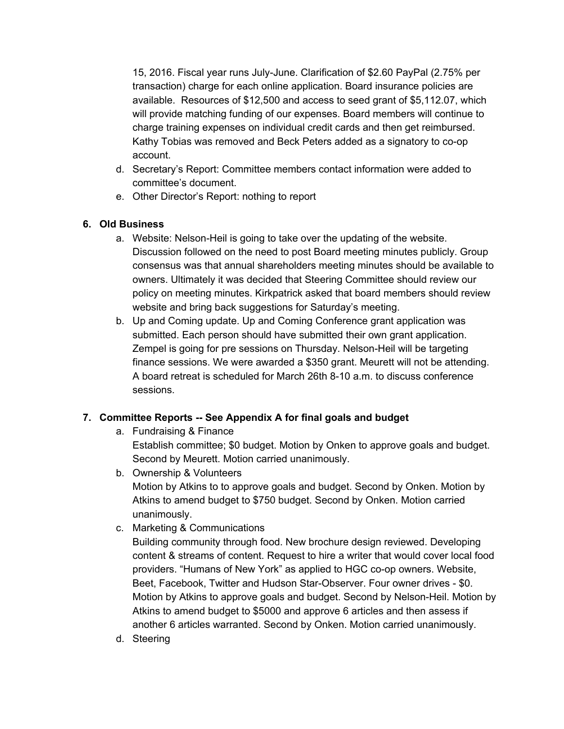15, 2016. Fiscal year runs July-June. Clarification of \$2.60 PayPal (2.75% per transaction) charge for each online application. Board insurance policies are available. Resources of \$12,500 and access to seed grant of \$5,112.07, which will provide matching funding of our expenses. Board members will continue to charge training expenses on individual credit cards and then get reimbursed. Kathy Tobias was removed and Beck Peters added as a signatory to co-op account.

- d. Secretary's Report: Committee members contact information were added to committee's document.
- e. Other Director's Report: nothing to report

## **6. Old Business**

- a. Website: Nelson-Heil is going to take over the updating of the website. Discussion followed on the need to post Board meeting minutes publicly. Group consensus was that annual shareholders meeting minutes should be available to owners. Ultimately it was decided that Steering Committee should review our policy on meeting minutes. Kirkpatrick asked that board members should review website and bring back suggestions for Saturday's meeting.
- b. Up and Coming update. Up and Coming Conference grant application was submitted. Each person should have submitted their own grant application. Zempel is going for pre sessions on Thursday. Nelson-Heil will be targeting finance sessions. We were awarded a \$350 grant. Meurett will not be attending. A board retreat is scheduled for March 26th 8-10 a.m. to discuss conference sessions.

## **7. Committee Reports -- See Appendix A for final goals and budget**

a. Fundraising & Finance

Establish committee; \$0 budget. Motion by Onken to approve goals and budget. Second by Meurett. Motion carried unanimously.

- b. Ownership & Volunteers Motion by Atkins to to approve goals and budget. Second by Onken. Motion by Atkins to amend budget to \$750 budget. Second by Onken. Motion carried unanimously.
- c. Marketing & Communications

Building community through food. New brochure design reviewed. Developing content & streams of content. Request to hire a writer that would cover local food providers. "Humans of New York" as applied to HGC co-op owners. Website, Beet, Facebook, Twitter and Hudson Star-Observer. Four owner drives - \$0. Motion by Atkins to approve goals and budget. Second by Nelson-Heil. Motion by Atkins to amend budget to \$5000 and approve 6 articles and then assess if another 6 articles warranted. Second by Onken. Motion carried unanimously.

d. Steering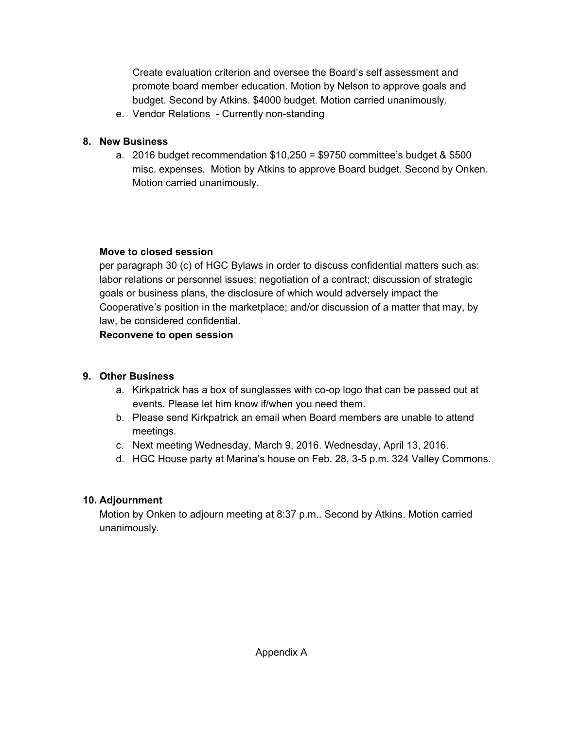Create evaluation criterion and oversee the Board's self assessment and promote board member education. Motion by Nelson to approve goals and budget. Second by Atkins. \$4000 budget. Motion carried unanimously.

e. Vendor Relations - Currently non-standing

## **8. New Business**

a. 2016 budget recommendation \$10,250 = \$9750 committee's budget & \$500 misc. expenses. Motion by Atkins to approve Board budget. Second by Onken. Motion carried unanimously.

## **Move to closed session**

per paragraph 30 (c) of HGC Bylaws in order to discuss confidential matters such as: labor relations or personnel issues; negotiation of a contract; discussion of strategic goals or business plans, the disclosure of which would adversely impact the Cooperative's position in the marketplace; and/or discussion of a matter that may, by law, be considered confidential.

**Reconvene to open session**

# **9. Other Business**

- a. Kirkpatrick has a box of sunglasses with co-op logo that can be passed out at events. Please let him know if/when you need them.
- b. Please send Kirkpatrick an email when Board members are unable to attend meetings.
- c. Next meeting Wednesday, March 9, 2016. Wednesday, April 13, 2016.
- d. HGC House party at Marina's house on Feb. 28, 3-5 p.m. 324 Valley Commons.

# **10. Adjournment**

Motion by Onken to adjourn meeting at 8:37 p.m.. Second by Atkins. Motion carried unanimously.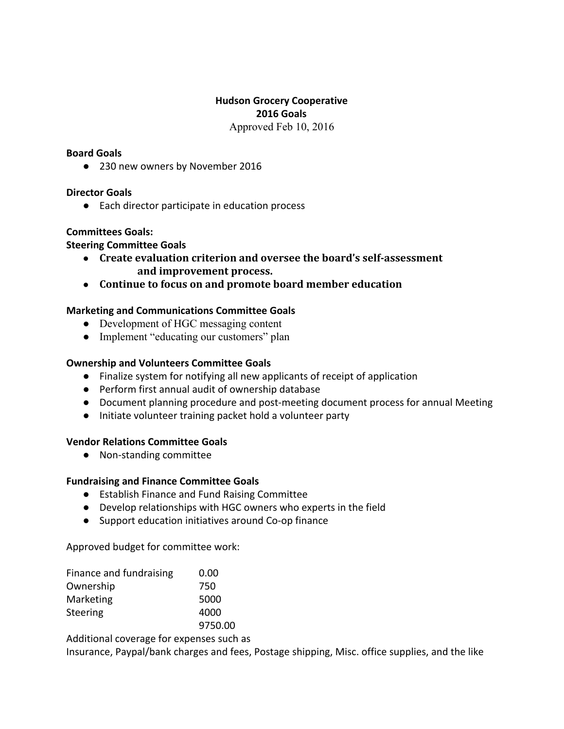## **Hudson Grocery Cooperative 2016 Goals** Approved Feb 10, 2016

#### **Board Goals**

● 230 new owners by November 2016

### **Director Goals**

● Each director participate in education process

### **Committees Goals:**

### **Steering Committee Goals**

- **Create evaluation criterion and oversee the board's self-assessment and improvement process.**
- **Continue to focus on and promote board member education**

## **Marketing and Communications Committee Goals**

- Development of HGC messaging content
- Implement "educating our customers" plan

### **Ownership and Volunteers Committee Goals**

- Finalize system for notifying all new applicants of receipt of application
- Perform first annual audit of ownership database
- Document planning procedure and post-meeting document process for annual Meeting
- Initiate volunteer training packet hold a volunteer party

#### **Vendor Relations Committee Goals**

● Non-standing committee

## **Fundraising and Finance Committee Goals**

- Establish Finance and Fund Raising Committee
- Develop relationships with HGC owners who experts in the field
- Support education initiatives around Co-op finance

Approved budget for committee work:

| Finance and fundraising | 0.00    |
|-------------------------|---------|
| Ownership               | 750     |
| Marketing               | 5000    |
| <b>Steering</b>         | 4000    |
|                         | 9750.00 |

Additional coverage for expenses such as

Insurance, Paypal/bank charges and fees, Postage shipping, Misc. office supplies, and the like